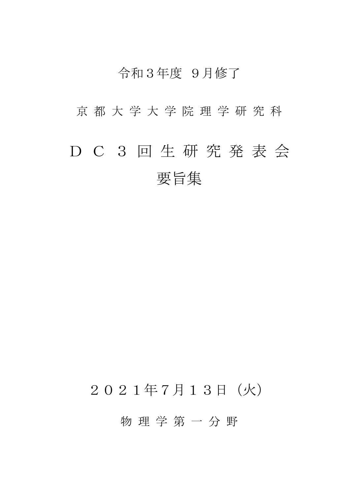### 令和3年度 9月修了

京 都 大 学 大 学 院 理 学 研 究 科

# D C 3 回 生 研 究 発 表 会 要旨集

## 2021年7月13日(火)

物 理 学 第 一 分 野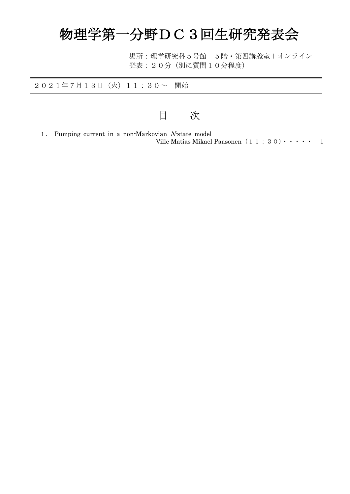# 物理学第一分野DC3回生研究発表会

場所:理学研究科5号館 5階・第四講義室+オンライン 発表:20分(別に質問10分程度)

2021年7月13日(火)11:30~ 開始

目 次

1. Pumping current in a non-Markovian N-state model Ville Matias Mikael Paasonen $(1\ 1\ :\ 3\ 0)\cdot\cdot\cdot\cdot\cdot\cdot\quad 1$